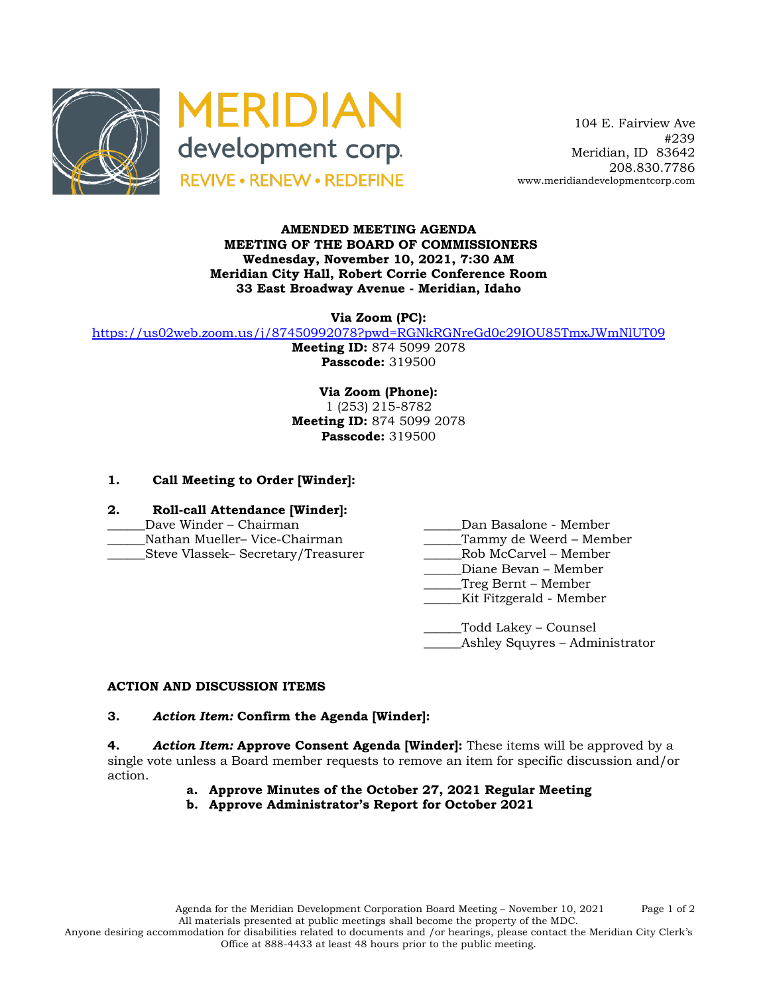



 104 E. Fairview Ave #239 Meridian, ID 83642 208.830.7786 www.meridiandevelopmentcorp.com

#### **AMENDED MEETING AGENDA MEETING OF THE BOARD OF COMMISSIONERS Wednesday, November 10, 2021, 7:30 AM Meridian City Hall, Robert Corrie Conference Room 33 East Broadway Avenue - Meridian, Idaho**

**Via Zoom (PC):**

https://us02web.zoom.us/j/87450992078?pwd=RGNkRGNreGd0c29IOU85TmxJWmNlUT09

**Meeting ID:** 874 5099 2078 **Passcode:** 319500

**Via Zoom (Phone):** 1 (253) 215-8782 **Meeting ID:** 874 5099 2078 **Passcode:** 319500

## **1. Call Meeting to Order [Winder]:**

- **2. Roll-call Attendance [Winder]:**
- 
- 
- \_\_\_\_\_\_Steve Vlassek– Secretary/Treasurer \_\_\_\_\_\_Rob McCarvel Member
- \_\_\_\_\_\_Dave Winder Chairman \_\_\_\_\_\_Dan Basalone Member
- Nathan Mueller– Vice-Chairman and Tammy de Weerd Member
	-
	- \_\_\_\_\_\_Diane Bevan Member
	- \_\_\_\_\_\_Treg Bernt Member
	- \_\_\_\_\_\_Kit Fitzgerald Member

\_\_\_\_\_\_Todd Lakey – Counsel Ashley Squyres – Administrator

### **ACTION AND DISCUSSION ITEMS**

# **3.** *Action Item:* **Confirm the Agenda [Winder]:**

**4.** *Action Item:* **Approve Consent Agenda [Winder]:** These items will be approved by a single vote unless a Board member requests to remove an item for specific discussion and/or action.

- **a. Approve Minutes of the October 27, 2021 Regular Meeting**
- **b. Approve Administrator's Report for October 2021**